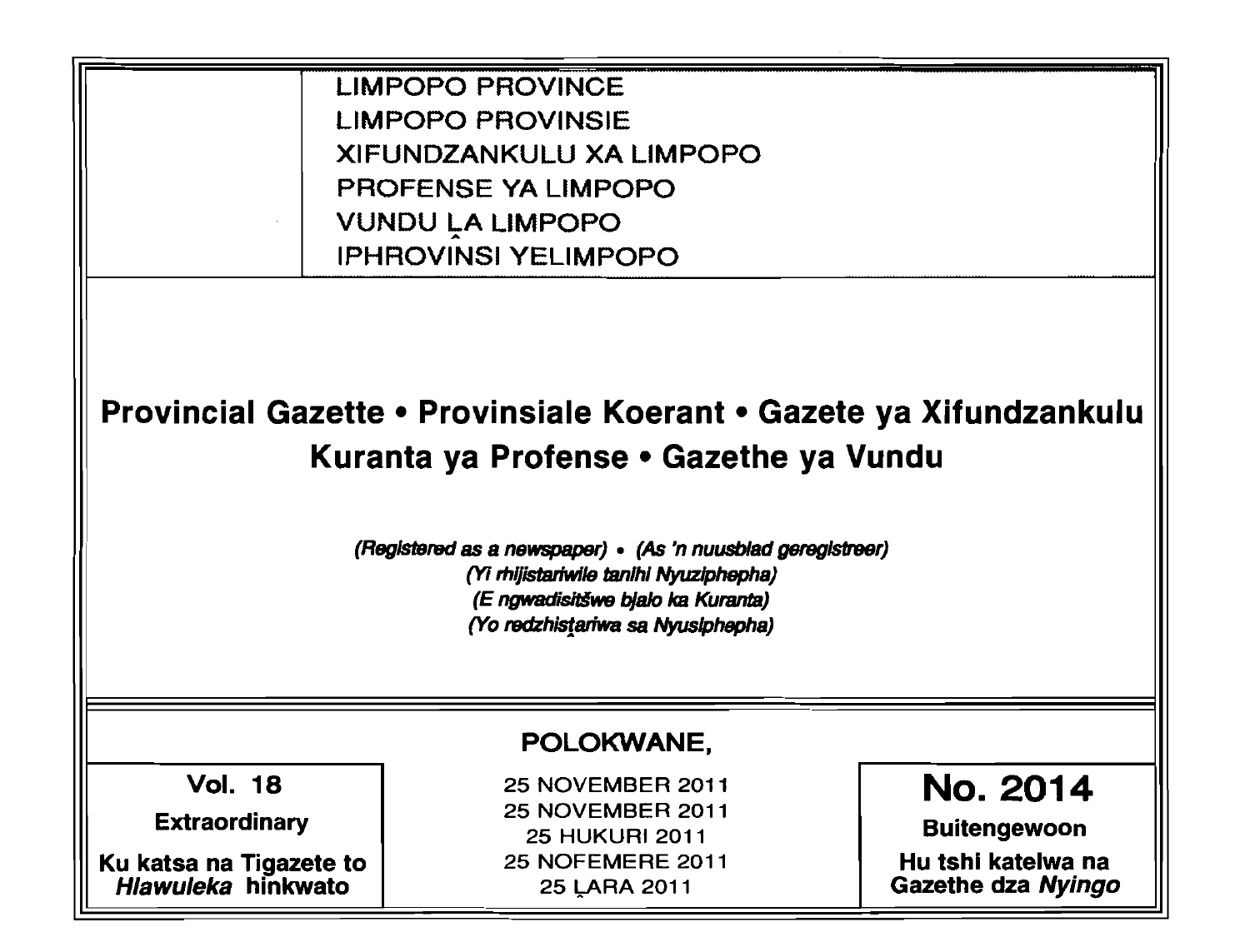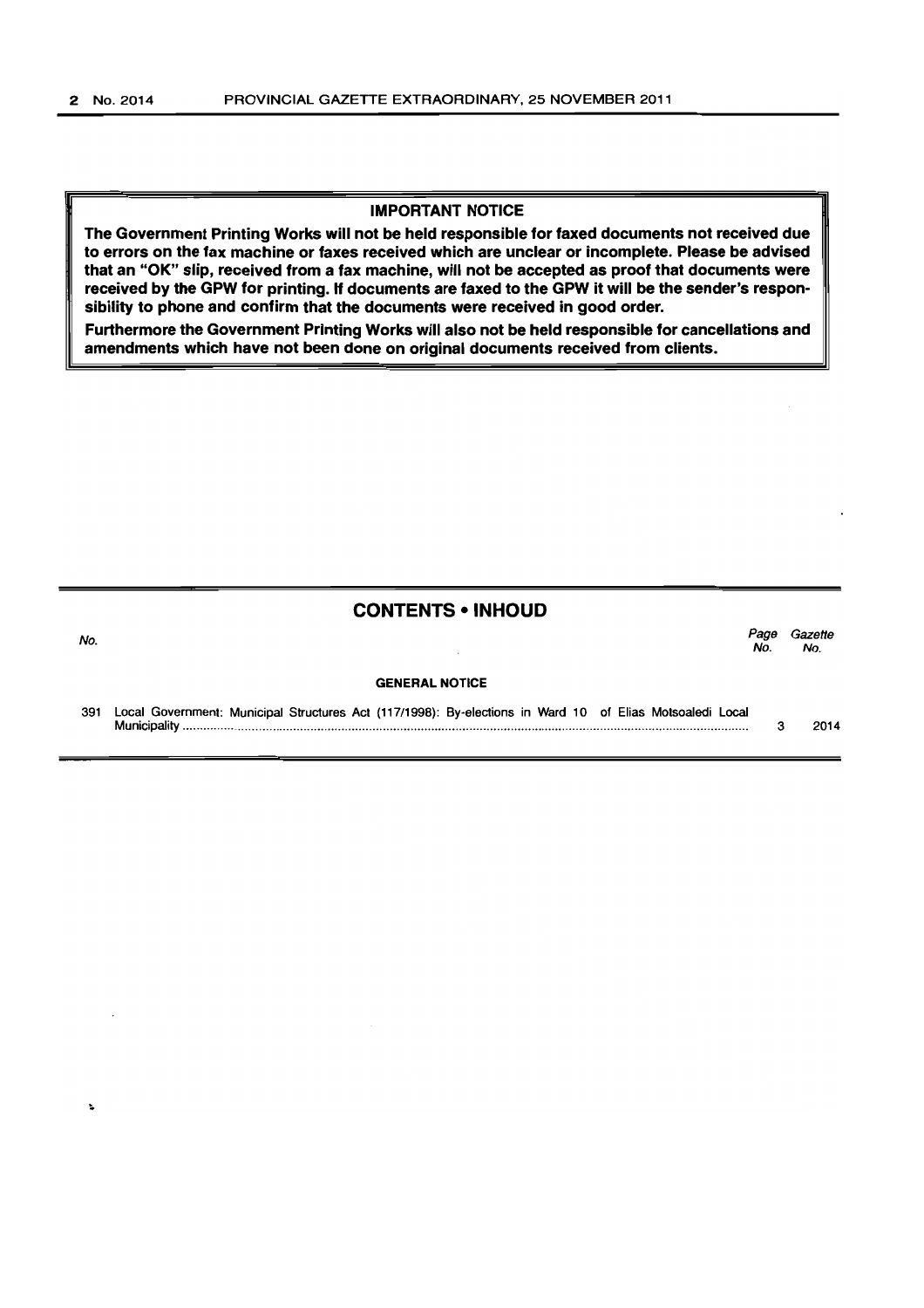#### **IMPORTANT NOTICE**

**The Government Printing Works will not be held responsible for faxed documents not received due to errors on the fax machine or faxes received which are unclear or incomplete. Please be advised that an "OK" slip, received from a fax machine, will not be accepted as proof that documents were received by the GPW for printing. H documents are faxed to the GPW it will be the sender's responsibility to phone and confirm that the documents were received in good order.** 

**Furthermore the Government Printing Works will also not be held responsible for cancellations and amendments which have not been done on original documents received from clients.** 

### **CONTENTS • INHOUD**

No. *Page Gazette*  No. No.

#### **GENERAL NOTICE**

391 Local Government: Municipal Structures Act (117/1996): By-elections in Ward 10 of Elias Motsoaledi Local Municipality ................................................................................................................................................................... . 3 2014